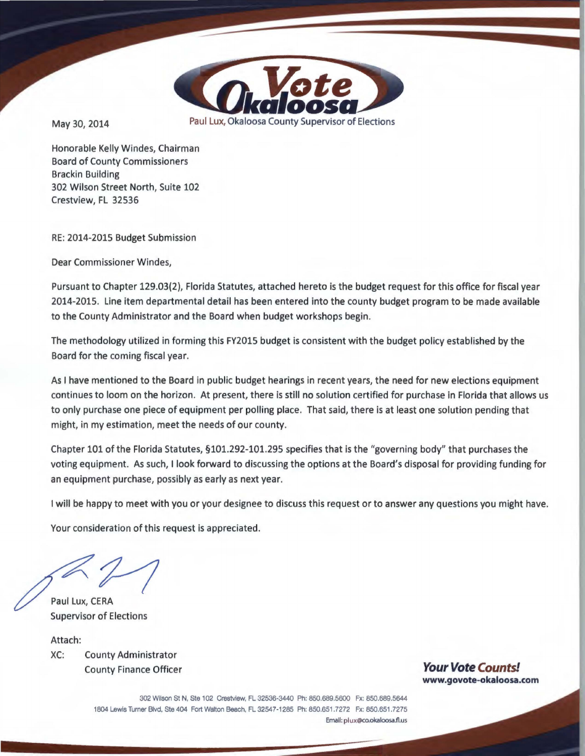

May 30, 2014 Paul Lux, Okaloosa County Supervisor of Elections

Honorable Kelly Windes, Chairman Board of County Commissioners Brackin Building 302 Wilson Street North, Suite 102 Crestview, FL 32536

RE: 2014-2015 Budget Submission

Dear Commissioner Windes,

Pursuant to Chapter 129.03(2), Florida Statutes, attached hereto is the budget request for this office for fiscal year 2014-2015. Line item departmental detail has been entered into the county budget program to be made available to the County Administrator and the Board when budget workshops begin.

The methodology utilized in forming this FY2015 budget is consistent with the budget policy established by the Board for the coming fiscal year.

As I have mentioned to the Board in public budget hearings in recent years, the need for new elections equipment continues to loom on the horizon. At present, there is still no solution certified for purchase in Florida that allows us to only purchase one piece of equipment per polling place. That said, there is at least one solution pending that might, in my estimation, meet the needs of our county.

Chapter 101 of the Florida Statutes, §101.292-101.295 specifies that is the "governing body" that purchases the voting equipment. As such, I look forward to discussing the options at the Board's disposal for providing funding for an equipment purchase, possibly as early as next year.

I will be happy to meet with you or your designee to discuss this request or to answer any questions you might have.

Your consideration of this request is appreciated.

•

Paul Lux, CERA Supervisor of Elections

Attach: XC: County Administrator County Finance Officer **Your Vote Counts!** 

**www.govote-okaloosa.com** 

302 Wilson St **N,** Ste 102 Crestview, FL 32536·3440 Ph: 850.689.5600 Fx: 850.689.5644 1804 Lewis Tumer Blvd, Ste 404 Fort Walton Beach, FL 32547-1285 Ph: 850.651 .7272 Fx: 850.651 .7275 **Email: plux@Co.okaloosa.fl.us**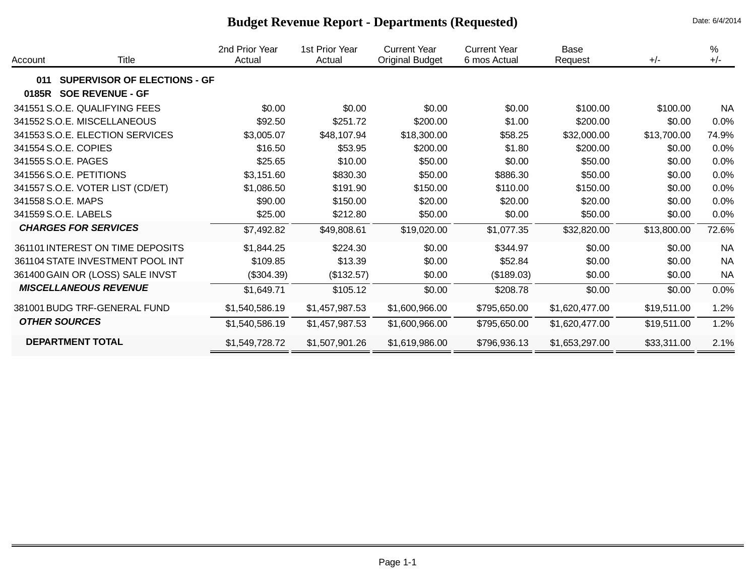| Account | Title                               | 2nd Prior Year<br>Actual | 1st Prior Year<br>Actual | <b>Current Year</b><br>Original Budget | <b>Current Year</b><br>6 mos Actual | Base<br>Request | $+/-$       | $\%$<br>$+/-$ |
|---------|-------------------------------------|--------------------------|--------------------------|----------------------------------------|-------------------------------------|-----------------|-------------|---------------|
| 011     | <b>SUPERVISOR OF ELECTIONS - GF</b> |                          |                          |                                        |                                     |                 |             |               |
| 0185R   | <b>SOE REVENUE - GF</b>             |                          |                          |                                        |                                     |                 |             |               |
|         | 341551 S.O.E. QUALIFYING FEES       | \$0.00                   | \$0.00                   | \$0.00                                 | \$0.00                              | \$100.00        | \$100.00    | <b>NA</b>     |
|         | 341552 S.O.E. MISCELLANEOUS         | \$92.50                  | \$251.72                 | \$200.00                               | \$1.00                              | \$200.00        | \$0.00      | 0.0%          |
|         | 341553 S.O.E. ELECTION SERVICES     | \$3,005.07               | \$48,107.94              | \$18,300.00                            | \$58.25                             | \$32,000.00     | \$13,700.00 | 74.9%         |
|         | 341554 S.O.E. COPIES                | \$16.50                  | \$53.95                  | \$200.00                               | \$1.80                              | \$200.00        | \$0.00      | 0.0%          |
|         | 341555 S.O.E. PAGES                 | \$25.65                  | \$10.00                  | \$50.00                                | \$0.00                              | \$50.00         | \$0.00      | 0.0%          |
|         | 341556 S.O.E. PETITIONS             | \$3,151.60               | \$830.30                 | \$50.00                                | \$886.30                            | \$50.00         | \$0.00      | 0.0%          |
|         | 341557 S.O.E. VOTER LIST (CD/ET)    | \$1,086.50               | \$191.90                 | \$150.00                               | \$110.00                            | \$150.00        | \$0.00      | 0.0%          |
|         | 341558 S.O.E. MAPS                  | \$90.00                  | \$150.00                 | \$20.00                                | \$20.00                             | \$20.00         | \$0.00      | 0.0%          |
|         | 341559 S.O.E. LABELS                | \$25.00                  | \$212.80                 | \$50.00                                | \$0.00                              | \$50.00         | \$0.00      | 0.0%          |
|         | <b>CHARGES FOR SERVICES</b>         | \$7,492.82               | \$49,808.61              | \$19,020.00                            | \$1,077.35                          | \$32,820.00     | \$13,800.00 | 72.6%         |
|         | 361101 INTEREST ON TIME DEPOSITS    | \$1,844.25               | \$224.30                 | \$0.00                                 | \$344.97                            | \$0.00          | \$0.00      | <b>NA</b>     |
|         | 361104 STATE INVESTMENT POOL INT    | \$109.85                 | \$13.39                  | \$0.00                                 | \$52.84                             | \$0.00          | \$0.00      | <b>NA</b>     |
|         | 361400 GAIN OR (LOSS) SALE INVST    | (\$304.39)               | (\$132.57)               | \$0.00                                 | (\$189.03)                          | \$0.00          | \$0.00      | <b>NA</b>     |
|         | <b>MISCELLANEOUS REVENUE</b>        | \$1,649.71               | \$105.12                 | \$0.00                                 | \$208.78                            | \$0.00          | \$0.00      | 0.0%          |
|         | 381001 BUDG TRF-GENERAL FUND        | \$1,540,586.19           | \$1,457,987.53           | \$1,600,966.00                         | \$795,650.00                        | \$1,620,477.00  | \$19,511.00 | 1.2%          |
|         | <b>OTHER SOURCES</b>                | \$1,540,586.19           | \$1,457,987.53           | \$1,600,966.00                         | \$795,650.00                        | \$1,620,477.00  | \$19,511.00 | 1.2%          |
|         | <b>DEPARTMENT TOTAL</b>             | \$1,549,728.72           | \$1,507,901.26           | \$1,619,986.00                         | \$796,936.13                        | \$1,653,297.00  | \$33,311.00 | 2.1%          |

# **Budget Revenue Report - Departments (Requested)** Date: 6/4/2014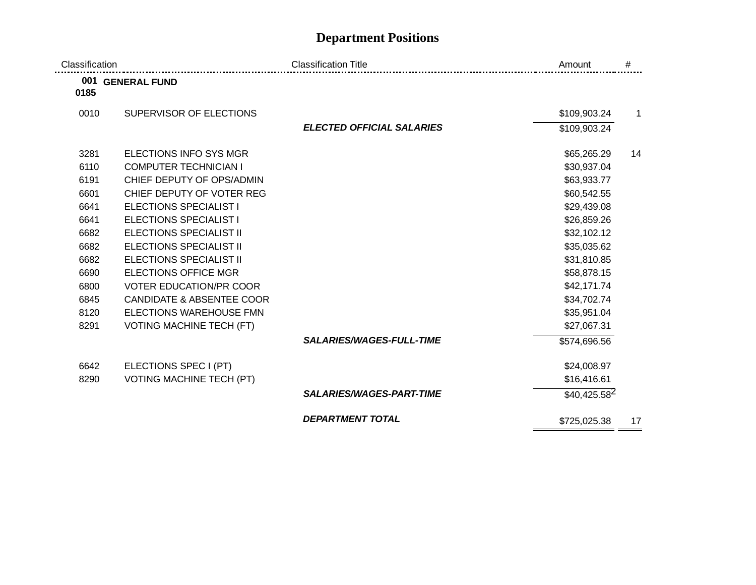# **Department Positions**

| Classification |                                      | <b>Classification Title</b>      | Amount         | #            |
|----------------|--------------------------------------|----------------------------------|----------------|--------------|
| 0185           | 001 GENERAL FUND                     |                                  |                |              |
| 0010           | SUPERVISOR OF ELECTIONS              |                                  | \$109,903.24   | $\mathbf{1}$ |
|                |                                      | <b>ELECTED OFFICIAL SALARIES</b> | \$109,903.24   |              |
| 3281           | ELECTIONS INFO SYS MGR               |                                  | \$65,265.29    | 14           |
| 6110           | <b>COMPUTER TECHNICIAN I</b>         |                                  | \$30,937.04    |              |
| 6191           | CHIEF DEPUTY OF OPS/ADMIN            |                                  | \$63,933.77    |              |
| 6601           | CHIEF DEPUTY OF VOTER REG            |                                  | \$60,542.55    |              |
| 6641           | <b>ELECTIONS SPECIALIST I</b>        |                                  | \$29,439.08    |              |
| 6641           | <b>ELECTIONS SPECIALIST I</b>        |                                  | \$26,859.26    |              |
| 6682           | <b>ELECTIONS SPECIALIST II</b>       |                                  | \$32,102.12    |              |
| 6682           | <b>ELECTIONS SPECIALIST II</b>       |                                  | \$35,035.62    |              |
| 6682           | <b>ELECTIONS SPECIALIST II</b>       |                                  | \$31,810.85    |              |
| 6690           | <b>ELECTIONS OFFICE MGR</b>          |                                  | \$58,878.15    |              |
| 6800           | <b>VOTER EDUCATION/PR COOR</b>       |                                  | \$42,171.74    |              |
| 6845           | <b>CANDIDATE &amp; ABSENTEE COOR</b> |                                  | \$34,702.74    |              |
| 8120           | ELECTIONS WAREHOUSE FMN              |                                  | \$35,951.04    |              |
| 8291           | <b>VOTING MACHINE TECH (FT)</b>      |                                  | \$27,067.31    |              |
|                |                                      | <b>SALARIES/WAGES-FULL-TIME</b>  | \$574,696.56   |              |
| 6642           | ELECTIONS SPEC I (PT)                |                                  | \$24,008.97    |              |
| 8290           | <b>VOTING MACHINE TECH (PT)</b>      |                                  | \$16,416.61    |              |
|                |                                      | <b>SALARIES/WAGES-PART-TIME</b>  | $$40,425.58^2$ |              |
|                |                                      | <b>DEPARTMENT TOTAL</b>          | \$725,025.38   | 17           |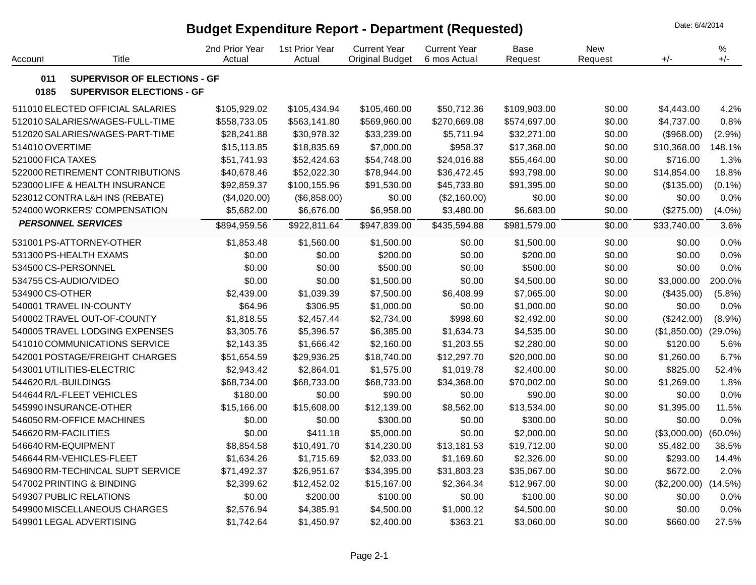## **Budget Expenditure Report - Department (Requested)** Date: 6/4/2014

2nd Prior Year1st Prior Year Current Year Current Year Base New %Account Title Actual Actual Original Budget 6 mos Actual Request Request +/- +/- **011 SUPERVISOR OF ELECTIONS - GF 0185 SUPERVISOR ELECTIONS - GF** 511010 ELECTED OFFICIAL SALARIES \$105,929.02 \$105,434.94 \$105,460.00 \$50,712.36 \$109,903.00 \$0.00 \$4,443.00 4.2% 512010 SALARIES/WAGES-FULL-TIME \$558,733.05 \$563,141.80 \$569,960.00 \$270,669.08 \$574,697.00 \$0.00 \$4,737.00 0.8% 512020 SALARIES/WAGES-PART-TIME \$28,241.88 \$30,978.32 \$33,239.00 \$5,711.94 \$32,271.00 \$0.00 (\$968.00) (2.9%) 514010 OVERTIME \$15,113.85 \$18,835.69 \$7,000.00 \$958.37 \$17,368.00 \$0.00 \$10,368.00 148.1% 521000 FICA TAXES \$51,741.93 \$52,424.63 \$54,748.00 \$24,016.88 \$55,464.00 \$0.00 \$716.00 1.3% 522000 RETIREMENT CONTRIBUTIONS \$40,678.46 \$52,022.30 \$78,944.00 \$36,472.45 \$93,798.00 \$0.00 \$14,854.00 18.8% 523000 LIFE & HEALTH INSURANCE \$92,859.37 \$100,155.96 \$91,530.00 \$45,733.80 \$91,395.00 \$0.00 (\$135.00) (0.1%) 523012 CONTRA L&H INS (REBATE) (\$4,020.00) (\$6,858.00) \$0.00 (\$2,160.00) \$0.00 \$0.00 \$0.00 0.0% 524000 WORKERS' COMPENSATION \$5,682.00 \$6,676.00 \$6,958.00 \$3,480.00 \$6,683.00 \$0.00 (\$275.00) (4.0%) *PERSONNEL SERVICES* \$894,959.56 \$922,811.64 \$947,839.00 \$435,594.88 \$981,579.00 \$0.00 \$33,740.00 3.6% 531001 PS-ATTORNEY-OTHER \$1,853.48 \$1,560.00 \$1,500.00 \$0.00 \$1,500.00 \$0.00 \$0.00 0.0% 531300 PS-HEALTH EXAMS \$0.00 \$0.00 \$200.00 \$0.00 \$200.00 \$0.00 \$0.00 0.0% 534500 CS-PERSONNEL \$0.00 \$0.00 \$500.00 \$0.00 \$500.00 \$0.00 \$0.00 0.0% 534755 CS-AUDIO/VIDEO \$0.00 \$0.00 \$1,500.00 \$0.00 \$4,500.00 \$0.00 \$3,000.00 200.0% 534900 CS-OTHER \$2,439.00 \$1,039.39 \$7,500.00 \$6,408.99 \$7,065.00 \$0.00 (\$435.00) (5.8%) 540001 TRAVEL IN-COUNTY \$64.96 \$306.95 \$1,000.00 \$0.00 \$1,000.00 \$0.00 \$0.00 0.0% 540002 TRAVEL OUT-OF-COUNTY \$1,818.55 \$2,457.44 \$2,734.00 \$998.60 \$2,492.00 \$0.00 (\$242.00) (8.9%) 540005 TRAVEL LODGING EXPENSES \$3,305.76 \$5,396.57 \$6,385.00 \$1,634.73 \$4,535.00 \$0.00 (\$1,850.00) (29.0%) 541010 COMMUNICATIONS SERVICE \$2,143.35 \$1,666.42 \$2,160.00 \$1,203.55 \$2,280.00 \$0.00 \$120.00 5.6% 542001 POSTAGE/FREIGHT CHARGES \$51,654.59 \$29,936.25 \$18,740.00 \$12,297.70 \$20,000.00 \$0.00 \$1,260.00 6.7% 543001 UTILITIES-ELECTRIC \$2,943.42 \$2,864.01 \$1,575.00 \$1,019.78 \$2,400.00 \$0.00 \$825.00 52.4% 544620 R/L-BUILDINGS \$68,734.00 \$68,733.00 \$68,733.00 \$34,368.00 \$70,002.00 \$0.00 \$1,269.00 1.8% 544644 R/L-FLEET VEHICLES \$180.00 \$0.00 \$90.00 \$0.00 \$90.00 \$0.00 \$0.00 0.0% 545990 INSURANCE-OTHER \$15,166.00 \$15,608.00 \$12,139.00 \$8,562.00 \$13,534.00 \$0.00 \$1,395.00 11.5% 546050 RM-OFFICE MACHINES \$0.00 \$0.00 \$300.00 \$0.00 \$300.00 \$0.00 \$0.00 0.0% 546620 RM-FACILITIES \$0.00 \$411.18 \$5,000.00 \$0.00 \$2,000.00 \$0.00 (\$3,000.00) (60.0%) 546640 RM-EQUIPMENT \$8,854.58 \$10,491.70 \$14,230.00 \$13,181.53 \$19,712.00 \$0.00 \$5,482.00 38.5% 546644 RM-VEHICLES-FLEET \$1,634.26 \$1,715.69 \$2,033.00 \$1,169.60 \$2,326.00 \$0.00 \$293.00 14.4% 546900 RM-TECHINCAL SUPT SERVICE \$71,492.37 \$26,951.67 \$34,395.00 \$31,803.23 \$35,067.00 \$0.00 \$672.00 2.0% 547002 PRINTING & BINDING \$2,399.62 \$12,452.02 \$15,167.00 \$2,364.34 \$12,967.00 \$0.00 (\$2,200.00) (14.5%) 549307 PUBLIC RELATIONS \$0.00 \$200.00 \$100.00 \$0.00 \$100.00 \$0.00 \$0.00 0.0% 549900 MISCELLANEOUS CHARGES \$2,576.94 \$4,385.91 \$4,500.00 \$1,000.12 \$4,500.00 \$0.00 \$0.00 0.0% 549901 LEGAL ADVERTISING \$1,742.64 \$1,450.97 \$2,400.00 \$363.21 \$3,060.00 \$0.00 \$660.00 27.5%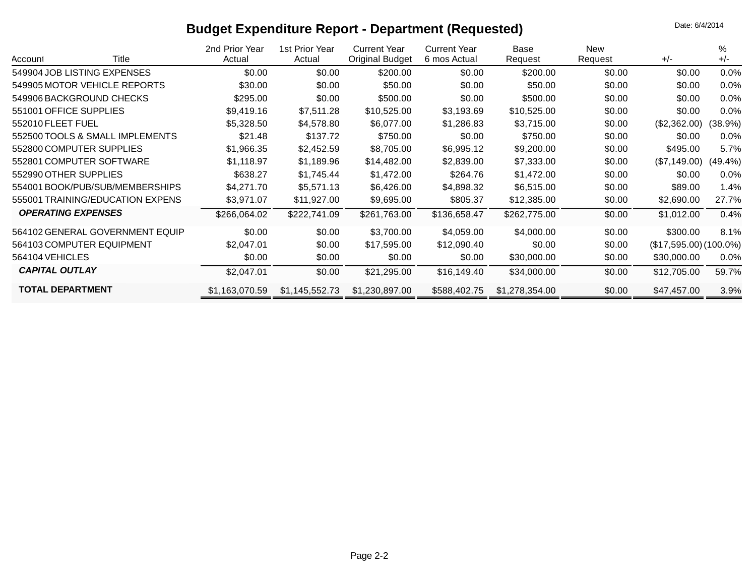# **Budget Expenditure Report - Department (Requested) Budget Expenditure Report - Department (Requested)**

| Title<br>Account                 | 2nd Prior Year<br>Actual | 1st Prior Year<br>Actual | <b>Current Year</b><br><b>Original Budget</b> | <b>Current Year</b><br>6 mos Actual | Base<br>Request | <b>New</b><br>Request | $+/-$                   | %<br>$+/-$ |
|----------------------------------|--------------------------|--------------------------|-----------------------------------------------|-------------------------------------|-----------------|-----------------------|-------------------------|------------|
| 549904 JOB LISTING EXPENSES      | \$0.00                   | \$0.00                   | \$200.00                                      | \$0.00                              | \$200.00        | \$0.00                | \$0.00                  | $0.0\%$    |
| 549905 MOTOR VEHICLE REPORTS     | \$30.00                  | \$0.00                   | \$50.00                                       | \$0.00                              | \$50.00         | \$0.00                | \$0.00                  | $0.0\%$    |
| 549906 BACKGROUND CHECKS         | \$295.00                 | \$0.00                   | \$500.00                                      | \$0.00                              | \$500.00        | \$0.00                | \$0.00                  | $0.0\%$    |
| 551001 OFFICE SUPPLIES           | \$9,419.16               | \$7,511.28               | \$10,525.00                                   | \$3,193.69                          | \$10,525.00     | \$0.00                | \$0.00                  | $0.0\%$    |
| 552010 FLEET FUEL                | \$5,328.50               | \$4,578.80               | \$6,077.00                                    | \$1,286.83                          | \$3,715.00      | \$0.00                | (\$2,362.00)            | (38.9%)    |
| 552500 TOOLS & SMALL IMPLEMENTS  | \$21.48                  | \$137.72                 | \$750.00                                      | \$0.00                              | \$750.00        | \$0.00                | \$0.00                  | $0.0\%$    |
| 552800 COMPUTER SUPPLIES         | \$1,966.35               | \$2,452.59               | \$8,705.00                                    | \$6,995.12                          | \$9,200.00      | \$0.00                | \$495.00                | 5.7%       |
| 552801 COMPUTER SOFTWARE         | \$1,118.97               | \$1,189.96               | \$14,482.00                                   | \$2,839.00                          | \$7,333.00      | \$0.00                | (\$7,149.00)            | $(49.4\%)$ |
| 552990 OTHER SUPPLIES            | \$638.27                 | \$1,745.44               | \$1,472.00                                    | \$264.76                            | \$1,472.00      | \$0.00                | \$0.00                  | $0.0\%$    |
| 554001 BOOK/PUB/SUB/MEMBERSHIPS  | \$4,271.70               | \$5,571.13               | \$6,426.00                                    | \$4,898.32                          | \$6,515.00      | \$0.00                | \$89.00                 | 1.4%       |
| 555001 TRAINING/EDUCATION EXPENS | \$3,971.07               | \$11,927.00              | \$9,695.00                                    | \$805.37                            | \$12,385.00     | \$0.00                | \$2,690.00              | 27.7%      |
| <b>OPERATING EXPENSES</b>        | \$266,064.02             | \$222,741.09             | \$261,763.00                                  | \$136,658.47                        | \$262,775.00    | \$0.00                | \$1,012.00              | 0.4%       |
| 564102 GENERAL GOVERNMENT EQUIP  | \$0.00                   | \$0.00                   | \$3,700.00                                    | \$4,059.00                          | \$4,000.00      | \$0.00                | \$300.00                | 8.1%       |
| 564103 COMPUTER EQUIPMENT        | \$2,047.01               | \$0.00                   | \$17,595.00                                   | \$12,090.40                         | \$0.00          | \$0.00                | $($17,595.00)(100.0\%)$ |            |
| 564104 VEHICLES                  | \$0.00                   | \$0.00                   | \$0.00                                        | \$0.00                              | \$30,000.00     | \$0.00                | \$30,000.00             | $0.0\%$    |
| <b>CAPITAL OUTLAY</b>            | \$2,047.01               | \$0.00                   | \$21,295.00                                   | \$16,149.40                         | \$34,000.00     | \$0.00                | \$12,705.00             | 59.7%      |
| <b>TOTAL DEPARTMENT</b>          | \$1,163,070.59           | \$1,145,552.73           | \$1,230,897.00                                | \$588,402.75                        | \$1,278,354.00  | \$0.00                | \$47,457.00             | 3.9%       |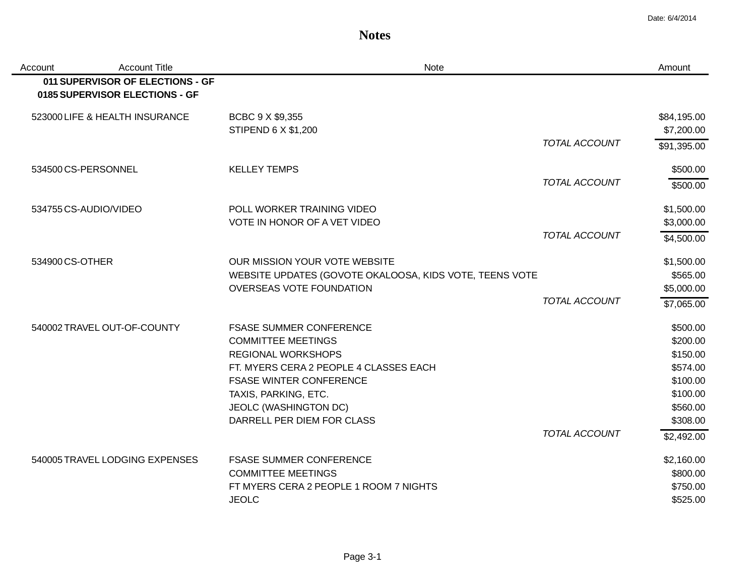#### **Notes**

| Account               | <b>Account Title</b>                                               | <b>Note</b>                                                                                                                                                                                                                                         |                      | Amount                                                                                                     |
|-----------------------|--------------------------------------------------------------------|-----------------------------------------------------------------------------------------------------------------------------------------------------------------------------------------------------------------------------------------------------|----------------------|------------------------------------------------------------------------------------------------------------|
|                       | 011 SUPERVISOR OF ELECTIONS - GF<br>0185 SUPERVISOR ELECTIONS - GF |                                                                                                                                                                                                                                                     |                      |                                                                                                            |
|                       | 523000 LIFE & HEALTH INSURANCE                                     | BCBC 9 X \$9,355<br>STIPEND 6 X \$1,200                                                                                                                                                                                                             |                      | \$84,195.00<br>\$7,200.00                                                                                  |
|                       |                                                                    |                                                                                                                                                                                                                                                     | <b>TOTAL ACCOUNT</b> | \$91,395.00                                                                                                |
| 534500 CS-PERSONNEL   |                                                                    | <b>KELLEY TEMPS</b>                                                                                                                                                                                                                                 |                      | \$500.00                                                                                                   |
|                       |                                                                    |                                                                                                                                                                                                                                                     | <b>TOTAL ACCOUNT</b> | \$500.00                                                                                                   |
| 534755 CS-AUDIO/VIDEO |                                                                    | POLL WORKER TRAINING VIDEO<br>VOTE IN HONOR OF A VET VIDEO                                                                                                                                                                                          |                      | \$1,500.00<br>\$3,000.00                                                                                   |
|                       |                                                                    |                                                                                                                                                                                                                                                     | <b>TOTAL ACCOUNT</b> | \$4,500.00                                                                                                 |
| 534900 CS-OTHER       |                                                                    | OUR MISSION YOUR VOTE WEBSITE<br>WEBSITE UPDATES (GOVOTE OKALOOSA, KIDS VOTE, TEENS VOTE<br>OVERSEAS VOTE FOUNDATION                                                                                                                                |                      | \$1,500.00<br>\$565.00<br>\$5,000.00                                                                       |
|                       |                                                                    |                                                                                                                                                                                                                                                     | <b>TOTAL ACCOUNT</b> | \$7,065.00                                                                                                 |
|                       | 540002 TRAVEL OUT-OF-COUNTY                                        | <b>FSASE SUMMER CONFERENCE</b><br><b>COMMITTEE MEETINGS</b><br><b>REGIONAL WORKSHOPS</b><br>FT. MYERS CERA 2 PEOPLE 4 CLASSES EACH<br><b>FSASE WINTER CONFERENCE</b><br>TAXIS, PARKING, ETC.<br>JEOLC (WASHINGTON DC)<br>DARRELL PER DIEM FOR CLASS | <b>TOTAL ACCOUNT</b> | \$500.00<br>\$200.00<br>\$150.00<br>\$574.00<br>\$100.00<br>\$100.00<br>\$560.00<br>\$308.00<br>\$2,492.00 |
|                       | 540005 TRAVEL LODGING EXPENSES                                     | <b>FSASE SUMMER CONFERENCE</b><br><b>COMMITTEE MEETINGS</b><br>FT MYERS CERA 2 PEOPLE 1 ROOM 7 NIGHTS<br><b>JEOLC</b>                                                                                                                               |                      | \$2,160.00<br>\$800.00<br>\$750.00<br>\$525.00                                                             |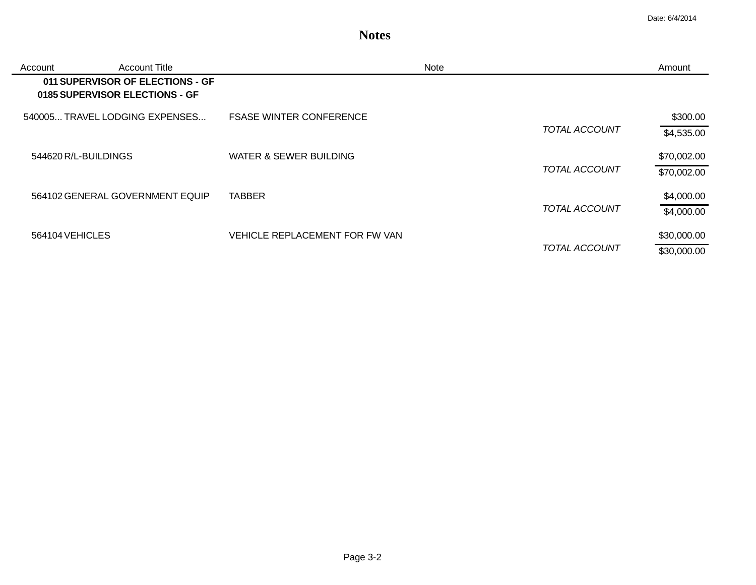### **Notes**

| Account         | <b>Account Title</b>                                               | Note                           | Amount      |
|-----------------|--------------------------------------------------------------------|--------------------------------|-------------|
|                 | 011 SUPERVISOR OF ELECTIONS - GF<br>0185 SUPERVISOR ELECTIONS - GF |                                |             |
|                 | 540005 TRAVEL LODGING EXPENSES                                     | <b>FSASE WINTER CONFERENCE</b> | \$300.00    |
|                 |                                                                    | <b>TOTAL ACCOUNT</b>           | \$4,535.00  |
|                 | 544620 R/L-BUILDINGS                                               | WATER & SEWER BUILDING         | \$70,002.00 |
|                 |                                                                    | <b>TOTAL ACCOUNT</b>           | \$70,002.00 |
|                 | 564102 GENERAL GOVERNMENT EQUIP                                    | <b>TABBER</b>                  | \$4,000.00  |
|                 |                                                                    | TOTAL ACCOUNT                  | \$4,000.00  |
| 564104 VEHICLES |                                                                    | VEHICLE REPLACEMENT FOR FW VAN | \$30,000.00 |
|                 |                                                                    | TOTAL ACCOUNT                  | \$30,000.00 |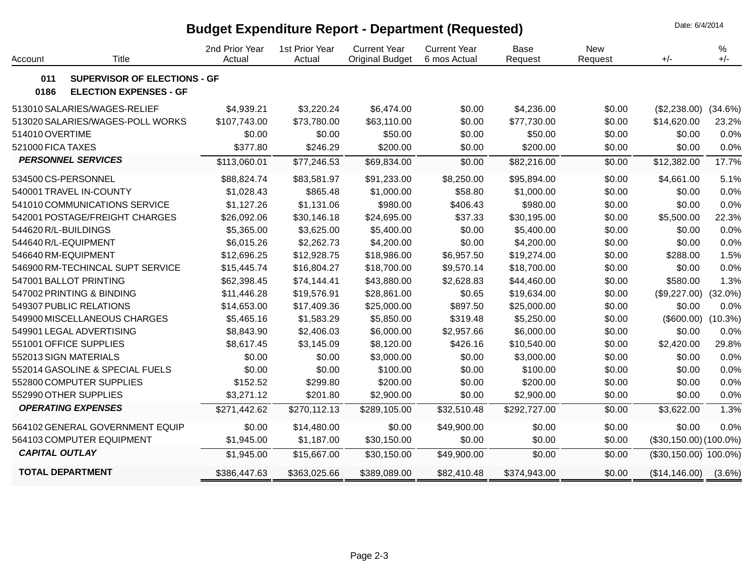## **Budget Expenditure Report - Department (Requested)** Date: 6/4/2014

2nd Prior Year1st Prior Year Current Year Current Year Base New %Account Title Actual Actual Original Budget 6 mos Actual Request Request +/- +/- **011 SUPERVISOR OF ELECTIONS - GF 0186 ELECTION EXPENSES - GF** 513010 SALARIES/WAGES-RELIEF 513020 SALARIES/WAGES-POLL WORKS 514010 OVERTIME \$4,939.21 \$107,743.00 \$0.00 \$3,220.24 \$73,780.00 \$0.00 \$6,474.00 \$63,110.00 \$50.00 \$0.00 \$0.00 \$0.00 \$4,236.00 \$77,730.00 \$50.00 \$0.00 \$0.00 \$0.00 (\$2,238.00) (34.6%) \$14,620.00 23.2% \$0.00 0.0% 521000 FICA TAXES \$377.80 \$246.29 \$200.00 \$0.00 \$200.00 \$0.00 \$0.00 0.0% 534500 CS-PERSONNEL \$88,824.74 \$83,581.97 \$91,233.00 \$8,250.00 \$95,894.00 \$0.00 \$4,661.00 5.1% *PERSONNEL SERVICES* \$113,060.01 \$77,246.53 \$69,834.00 \$0.00 \$82,216.00 \$0.00 \$12,382.00 17.7% 540001 TRAVEL IN-COUNTY \$1,028.43 \$865.48 \$1,000.00 \$58.80 \$1,000.00 \$0.00 \$0.00 0.0% 541010 COMMUNICATIONS SERVICE \$1,127.26 \$1,131.06 \$980.00 \$406.43 \$980.00 \$0.00 \$0.00 0.0% 542001 POSTAGE/FREIGHT CHARGES \$26,092.06 \$30,146.18 \$24,695.00 \$37.33 \$30,195.00 \$0.00 \$5,500.00 22.3% 544620 R/L-BUILDINGS \$5,365.00 \$3,625.00 \$5,400.00 \$0.00 \$5,400.00 \$0.00 \$0.00 0.0% 544640 R/L-EQUIPMENT \$6,015.26 \$2,262.73 \$4,200.00 \$0.00 \$4,200.00 \$0.00 \$0.00 0.0% 546640 RM-EQUIPMENT \$12,696.25 \$12,928.75 \$18,986.00 \$6,957.50 \$19,274.00 \$0.00 \$288.00 1.5% 546900 RM-TECHINCAL SUPT SERVICE \$15,445.74 \$16,804.27 \$18,700.00 \$9,570.14 \$18,700.00 \$0.00 \$0.00 0.0% 547001 BALLOT PRINTING \$62,398.45 \$74,144.41 \$43,880.00 \$2,628.83 \$44,460.00 \$0.00 \$580.00 1.3% 547002 PRINTING & BINDING \$11,446.28 \$19,576.91 \$28,861.00 \$0.65 \$19,634.00 \$0.00 (\$9,227.00) (32.0%) 549307 PUBLIC RELATIONS \$14,653.00 \$17,409.36 \$25,000.00 \$897.50 \$25,000.00 \$0.00 \$0.00 0.0% 549900 MISCELLANEOUS CHARGES \$5,465.16 \$1,583.29 \$5,850.00 \$319.48 \$5,250.00 \$0.00 (\$600.00) (10.3%) 549901 LEGAL ADVERTISING \$8,843.90 \$2,406.03 \$6,000.00 \$2,957.66 \$6,000.00 \$0.00 \$0.00 0.0% 551001 OFFICE SUPPLIES \$8,617.45 \$3,145.09 \$8,120.00 \$426.16 \$10,540.00 \$0.00 \$2,420.00 29.8% 552013 SIGN MATERIALS \$0.00 \$0.00 \$3,000.00 \$0.00 \$3,000.00 \$0.00 \$0.00 0.0% 552014 GASOLINE & SPECIAL FUELS \$0.00 \$0.00 \$100.00 \$0.00 \$100.00 \$0.00 \$0.00 0.0% 552800 COMPUTER SUPPLIES \$152.52 \$299.80 \$200.00 \$0.00 \$200.00 \$0.00 \$0.00 0.0% 552990 OTHER SUPPLIES \$3,271.12 \$201.80 \$2,900.00 \$0.00 \$2,900.00 \$0.00 \$0.00 0.0% *OPERATING EXPENSES* \$271,442.62 \$270,112.13 \$289,105.00 \$32,510.48 \$292,727.00 \$0.00 \$3,622.00 1.3% 564102 GENERAL GOVERNMENT EQUIP \$0.00 \$14,480.00 \$0.00 \$49,900.00 \$0.00 \$0.00 \$0.00 0.0% 564103 COMPUTER EQUIPMENT \$1,945.00 \$1,187.00 \$30,150.00 \$0.00 \$0.00 \$0.00 (\$30,150.00) (100.0%) *CAPITAL OUTLAY* \$1,945.00 \$15,667.00 \$30,150.00 \$49,900.00 \$0.00 \$0.00 (\$30,150.00) 100.0%) **TOTAL DEPARTMENT** \$386,447.63 \$363,025.66 \$389,089.00 \$82,410.48 \$374,943.00 \$0.00 (\$14,146.00) (3.6%)